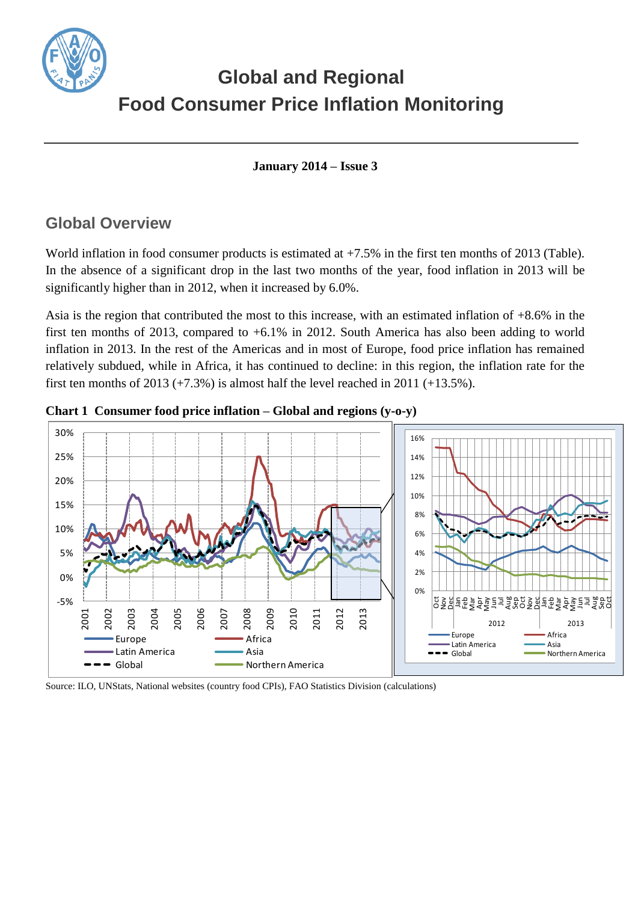

# **Global and Regional Food Consumer Price Inflation Monitoring**

**January 2014 – Issue 3**

## **Global Overview**

World inflation in food consumer products is estimated at  $+7.5\%$  in the first ten months of 2013 (Table). In the absence of a significant drop in the last two months of the year, food inflation in 2013 will be significantly higher than in 2012, when it increased by 6.0%.

Asia is the region that contributed the most to this increase, with an estimated inflation of +8.6% in the first ten months of 2013, compared to +6.1% in 2012. South America has also been adding to world inflation in 2013. In the rest of the Americas and in most of Europe, food price inflation has remained relatively subdued, while in Africa, it has continued to decline: in this region, the inflation rate for the first ten months of 2013  $(+7.3%)$  is almost half the level reached in 2011  $(+13.5%)$ .



**Chart 1 Consumer food price inflation – Global and regions (y-o-y)**

Source: ILO, UNStats, National websites (country food CPIs), FAO Statistics Division (calculations)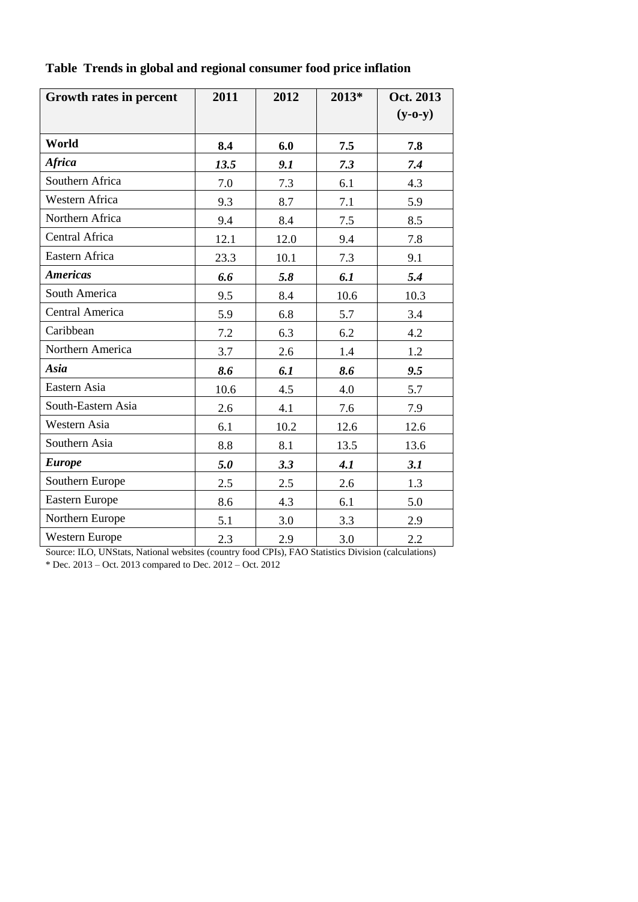| Growth rates in percent | 2011 | 2012 | 2013* | Oct. 2013<br>$(y-o-y)$ |
|-------------------------|------|------|-------|------------------------|
| World                   | 8.4  | 6.0  | 7.5   | 7.8                    |
| <b>Africa</b>           | 13.5 | 9.1  | 7.3   | 7.4                    |
| Southern Africa         | 7.0  | 7.3  | 6.1   | 4.3                    |
| Western Africa          | 9.3  | 8.7  | 7.1   | 5.9                    |
| Northern Africa         | 9.4  | 8.4  | 7.5   | 8.5                    |
| Central Africa          | 12.1 | 12.0 | 9.4   | 7.8                    |
| Eastern Africa          | 23.3 | 10.1 | 7.3   | 9.1                    |
| <b>Americas</b>         | 6.6  | 5.8  | 6.1   | 5.4                    |
| South America           | 9.5  | 8.4  | 10.6  | 10.3                   |
| Central America         | 5.9  | 6.8  | 5.7   | 3.4                    |
| Caribbean               | 7.2  | 6.3  | 6.2   | 4.2                    |
| Northern America        | 3.7  | 2.6  | 1.4   | 1.2                    |
| Asia                    | 8.6  | 6.1  | 8.6   | 9.5                    |
| Eastern Asia            | 10.6 | 4.5  | 4.0   | 5.7                    |
| South-Eastern Asia      | 2.6  | 4.1  | 7.6   | 7.9                    |
| Western Asia            | 6.1  | 10.2 | 12.6  | 12.6                   |
| Southern Asia           | 8.8  | 8.1  | 13.5  | 13.6                   |
| <b>Europe</b>           | 5.0  | 3.3  | 4.1   | 3.1                    |
| Southern Europe         | 2.5  | 2.5  | 2.6   | 1.3                    |
| <b>Eastern Europe</b>   | 8.6  | 4.3  | 6.1   | 5.0                    |
| Northern Europe         | 5.1  | 3.0  | 3.3   | 2.9                    |
| Western Europe          | 2.3  | 2.9  | 3.0   | 2.2                    |

**Table Trends in global and regional consumer food price inflation** 

Source: ILO, UNStats, National websites (country food CPIs), FAO Statistics Division (calculations) \* Dec. 2013 – Oct. 2013 compared to Dec. 2012 – Oct. 2012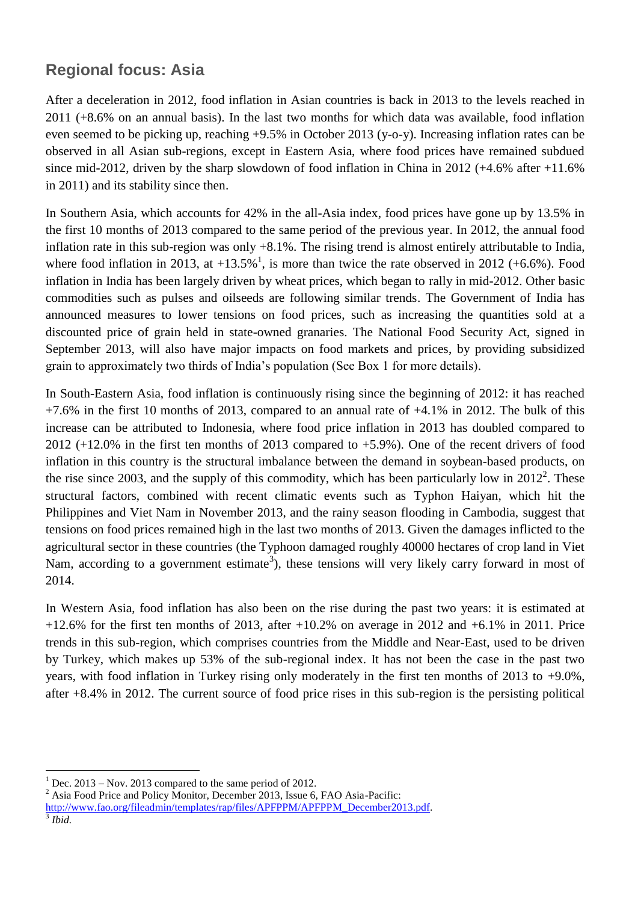### **Regional focus: Asia**

After a deceleration in 2012, food inflation in Asian countries is back in 2013 to the levels reached in 2011 (+8.6% on an annual basis). In the last two months for which data was available, food inflation even seemed to be picking up, reaching +9.5% in October 2013 (y-o-y). Increasing inflation rates can be observed in all Asian sub-regions, except in Eastern Asia, where food prices have remained subdued since mid-2012, driven by the sharp slowdown of food inflation in China in 2012 (+4.6% after +11.6% in 2011) and its stability since then.

In Southern Asia, which accounts for 42% in the all-Asia index, food prices have gone up by 13.5% in the first 10 months of 2013 compared to the same period of the previous year. In 2012, the annual food inflation rate in this sub-region was only +8.1%. The rising trend is almost entirely attributable to India, where food inflation in 2013, at  $+13.5\%$ <sup>1</sup>, is more than twice the rate observed in 2012 (+6.6%). Food inflation in India has been largely driven by wheat prices, which began to rally in mid-2012. Other basic commodities such as pulses and oilseeds are following similar trends. The Government of India has announced measures to lower tensions on food prices, such as increasing the quantities sold at a discounted price of grain held in state-owned granaries. The National Food Security Act, signed in September 2013, will also have major impacts on food markets and prices, by providing subsidized grain to approximately two thirds of India's population (See Box 1 for more details).

In South-Eastern Asia, food inflation is continuously rising since the beginning of 2012: it has reached  $+7.6\%$  in the first 10 months of 2013, compared to an annual rate of  $+4.1\%$  in 2012. The bulk of this increase can be attributed to Indonesia, where food price inflation in 2013 has doubled compared to 2012 (+12.0% in the first ten months of 2013 compared to +5.9%). One of the recent drivers of food inflation in this country is the structural imbalance between the demand in soybean-based products, on the rise since 2003, and the supply of this commodity, which has been particularly low in  $2012^2$ . These structural factors, combined with recent climatic events such as Typhon Haiyan, which hit the Philippines and Viet Nam in November 2013, and the rainy season flooding in Cambodia, suggest that tensions on food prices remained high in the last two months of 2013. Given the damages inflicted to the agricultural sector in these countries (the Typhoon damaged roughly 40000 hectares of crop land in Viet Nam, according to a government estimate<sup>3</sup>), these tensions will very likely carry forward in most of 2014.

In Western Asia, food inflation has also been on the rise during the past two years: it is estimated at  $+12.6\%$  for the first ten months of 2013, after  $+10.2\%$  on average in 2012 and  $+6.1\%$  in 2011. Price trends in this sub-region, which comprises countries from the Middle and Near-East, used to be driven by Turkey, which makes up 53% of the sub-regional index. It has not been the case in the past two years, with food inflation in Turkey rising only moderately in the first ten months of 2013 to  $+9.0\%$ . after +8.4% in 2012. The current source of food price rises in this sub-region is the persisting political

 $\overline{a}$ 

 $1$  Dec. 2013 – Nov. 2013 compared to the same period of 2012.

<sup>&</sup>lt;sup>2</sup> Asia Food Price and Policy Monitor, December 2013, Issue 6, FAO Asia-Pacific:

[http://www.fao.org/fileadmin/templates/rap/files/APFPPM/APFPPM\\_December2013.pdf.](http://www.fao.org/fileadmin/templates/rap/files/APFPPM/APFPPM_December2013.pdf) 3 *Ibid.*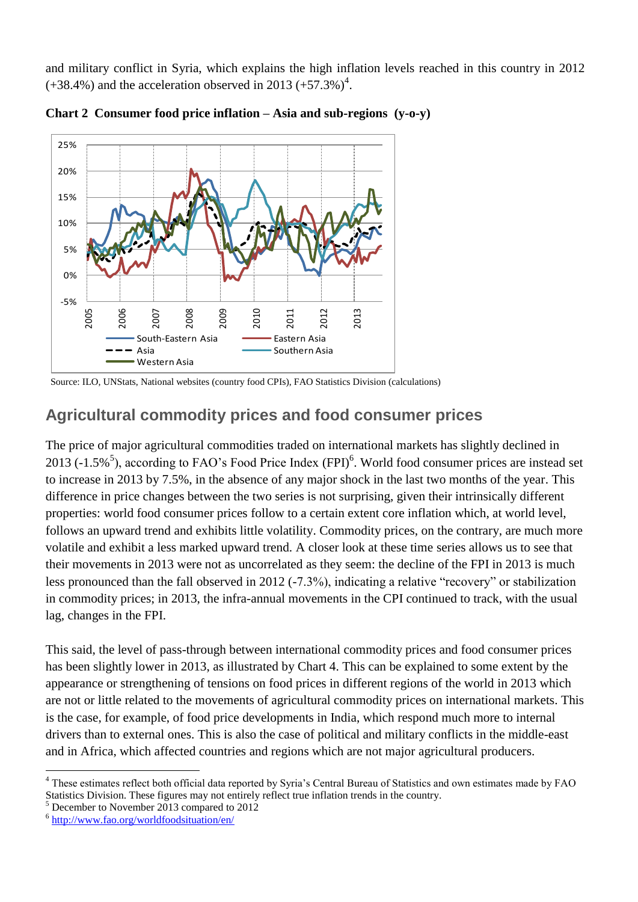and military conflict in Syria, which explains the high inflation levels reached in this country in 2012  $(+38.4\%)$  and the acceleration observed in 2013  $(+57.3\%)^4$ .





Source: ILO, UNStats, National websites (country food CPIs), FAO Statistics Division (calculations)

# **Agricultural commodity prices and food consumer prices**

The price of major agricultural commodities traded on international markets has slightly declined in 2013 (-1.5%<sup>5</sup>), according to FAO's Food Price Index (FPI)<sup>6</sup>. World food consumer prices are instead set to increase in 2013 by 7.5%, in the absence of any major shock in the last two months of the year. This difference in price changes between the two series is not surprising, given their intrinsically different properties: world food consumer prices follow to a certain extent core inflation which, at world level, follows an upward trend and exhibits little volatility. Commodity prices, on the contrary, are much more volatile and exhibit a less marked upward trend. A closer look at these time series allows us to see that their movements in 2013 were not as uncorrelated as they seem: the decline of the FPI in 2013 is much less pronounced than the fall observed in 2012 (-7.3%), indicating a relative "recovery" or stabilization in commodity prices; in 2013, the infra-annual movements in the CPI continued to track, with the usual lag, changes in the FPI.

This said, the level of pass-through between international commodity prices and food consumer prices has been slightly lower in 2013, as illustrated by Chart 4. This can be explained to some extent by the appearance or strengthening of tensions on food prices in different regions of the world in 2013 which are not or little related to the movements of agricultural commodity prices on international markets. This is the case, for example, of food price developments in India, which respond much more to internal drivers than to external ones. This is also the case of political and military conflicts in the middle-east and in Africa, which affected countries and regions which are not major agricultural producers.

 $\overline{a}$ 

<sup>&</sup>lt;sup>4</sup> These estimates reflect both official data reported by Syria's Central Bureau of Statistics and own estimates made by FAO Statistics Division. These figures may not entirely reflect true inflation trends in the country.

<sup>&</sup>lt;sup>5</sup> December to November 2013 compared to 2012

<sup>6</sup> <http://www.fao.org/worldfoodsituation/en/>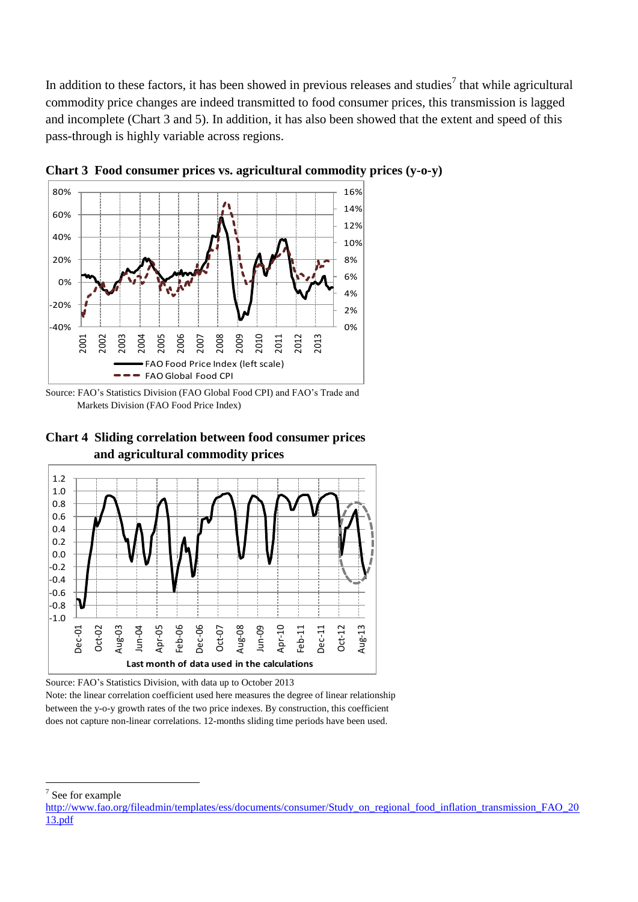In addition to these factors, it has been showed in previous releases and studies<sup>7</sup> that while agricultural commodity price changes are indeed transmitted to food consumer prices, this transmission is lagged and incomplete (Chart 3 and 5). In addition, it has also been showed that the extent and speed of this pass-through is highly variable across regions.



**Chart 3 Food consumer prices vs. agricultural commodity prices (y-o-y)**

Source: FAO's Statistics Division (FAO Global Food CPI) and FAO's Trade and Markets Division (FAO Food Price Index)





Source: FAO's Statistics Division, with data up to October 2013

Note: the linear correlation coefficient used here measures the degree of linear relationship between the y-o-y growth rates of the two price indexes. By construction, this coefficient does not capture non-linear correlations. 12-months sliding time periods have been used.

 $\overline{a}$ 

<sup>&</sup>lt;sup>7</sup> See for example

[http://www.fao.org/fileadmin/templates/ess/documents/consumer/Study\\_on\\_regional\\_food\\_inflation\\_transmission\\_FAO\\_20](http://www.fao.org/fileadmin/templates/ess/documents/consumer/Study_on_regional_food_inflation_transmission_FAO_2013.pdf) [13.pdf](http://www.fao.org/fileadmin/templates/ess/documents/consumer/Study_on_regional_food_inflation_transmission_FAO_2013.pdf)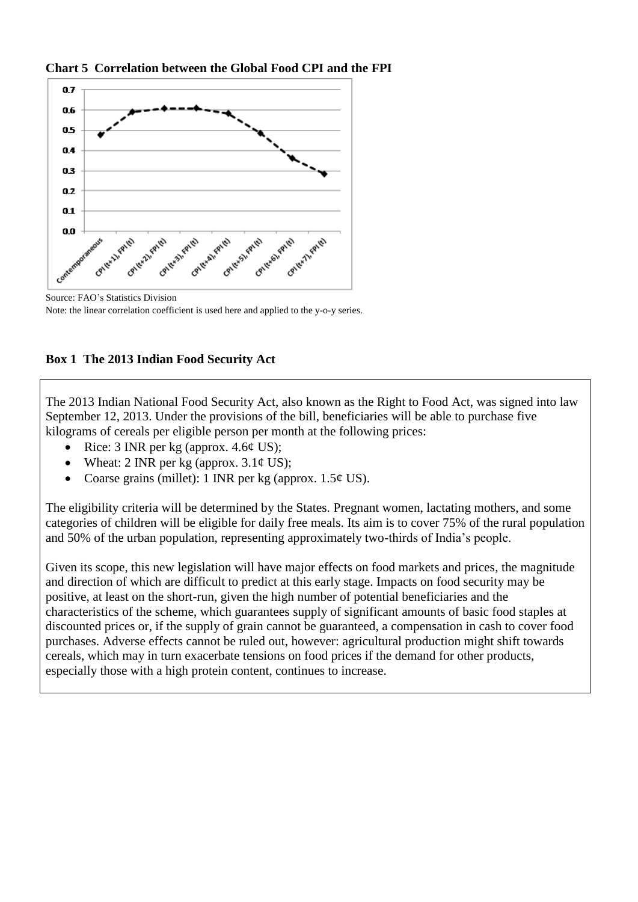**Chart 5 Correlation between the Global Food CPI and the FPI**



Source: FAO's Statistics Division Note: the linear correlation coefficient is used here and applied to the y-o-y series.



The 2013 Indian National Food Security Act, also known as the Right to Food Act, was signed into law September 12, 2013. Under the provisions of the bill, beneficiaries will be able to purchase five kilograms of cereals per eligible person per month at the following prices:

- Rice: 3 INR per kg (approx.  $4.6¢$  US);
- Wheat: 2 INR per kg (approx.  $3.1\phi$  US);
- Coarse grains (millet): 1 INR per kg (approx.  $1.5¢$  US).

The eligibility criteria will be determined by the States. Pregnant women, lactating mothers, and some categories of children will be eligible for daily free meals. Its aim is to cover 75% of the rural population and 50% of the urban population, representing approximately two-thirds of India's people.

Given its scope, this new legislation will have major effects on food markets and prices, the magnitude and direction of which are difficult to predict at this early stage. Impacts on food security may be positive, at least on the short-run, given the high number of potential beneficiaries and the characteristics of the scheme, which guarantees supply of significant amounts of basic food staples at discounted prices or, if the supply of grain cannot be guaranteed, a compensation in cash to cover food purchases. Adverse effects cannot be ruled out, however: agricultural production might shift towards cereals, which may in turn exacerbate tensions on food prices if the demand for other products, especially those with a high protein content, continues to increase.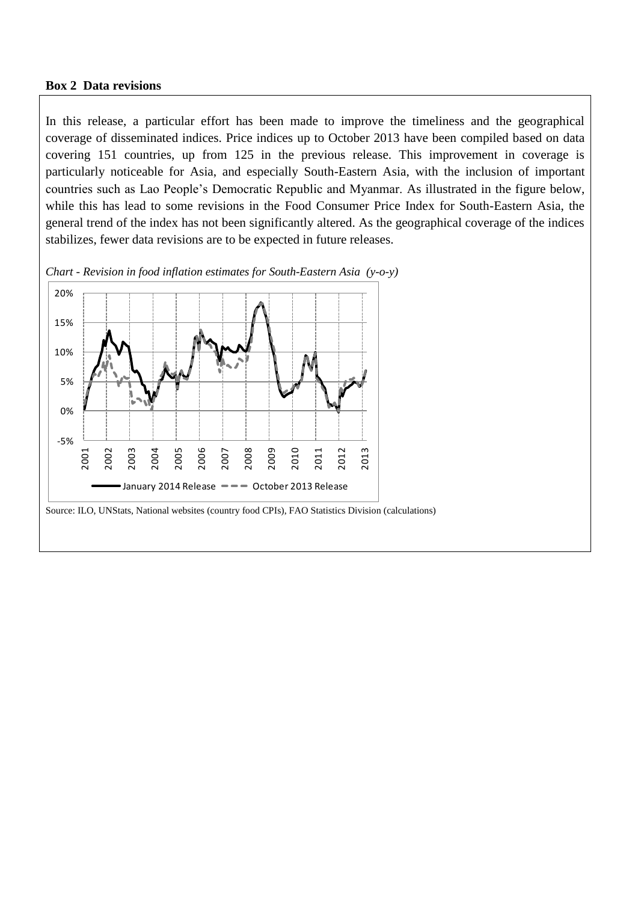#### **Box 2 Data revisions**

In this release, a particular effort has been made to improve the timeliness and the geographical coverage of disseminated indices. Price indices up to October 2013 have been compiled based on data covering 151 countries, up from 125 in the previous release. This improvement in coverage is particularly noticeable for Asia, and especially South-Eastern Asia, with the inclusion of important countries such as Lao People's Democratic Republic and Myanmar. As illustrated in the figure below, while this has lead to some revisions in the Food Consumer Price Index for South-Eastern Asia, the general trend of the index has not been significantly altered. As the geographical coverage of the indices stabilizes, fewer data revisions are to be expected in future releases.



*Chart - Revision in food inflation estimates for South-Eastern Asia (y-o-y)*